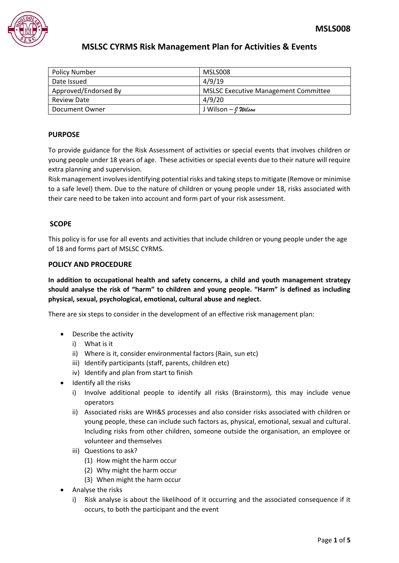

| <b>Policy Number</b> | MSLS008                                     |
|----------------------|---------------------------------------------|
| Date Issued          | 4/9/19                                      |
| Approved/Endorsed By | <b>MSLSC Executive Management Committee</b> |
| <b>Review Date</b>   | 4/9/20                                      |
| Document Owner       | J Wilson – <i>0 Wilson</i>                  |

## **PURPOSE**

To provide guidance for the Risk Assessment of activities or special events that involves children or young people under 18 years of age. These activities or special events due to their nature will require extra planning and supervision.

Risk management involves identifying potential risks and taking steps to mitigate (Remove or minimise to a safe level) them. Due to the nature of children or young people under 18, risks associated with their care need to be taken into account and form part of your risk assessment.

## **SCOPE**

This policy is for use for all events and activities that include children or young people under the age of 18 and forms part of MSLSC CYRMS.

## **POLICY AND PROCEDURE**

**In addition to occupational health and safety concerns, a child and youth management strategy should analyse the risk of "harm" to children and young people. "Harm" is defined as including physical, sexual, psychological, emotional, cultural abuse and neglect.**

There are six steps to consider in the development of an effective risk management plan:

- Describe the activity
	- i) What is it
	- ii) Where is it, consider environmental factors (Rain, sun etc)
	- iii) Identify participants (staff, parents, children etc)
	- iv) Identify and plan from start to finish
- Identify all the risks
	- i) Involve additional people to identify all risks (Brainstorm), this may include venue operators
	- ii) Associated risks are WH&S processes and also consider risks associated with children or young people, these can include such factors as, physical, emotional, sexual and cultural. Including risks from other children, someone outside the organisation, an employee or volunteer and themselves
	- iii) Questions to ask?
		- (1) How might the harm occur
		- (2) Why might the harm occur
		- (3) When might the harm occur
- Analyse the risks
	- i) Risk analyse is about the likelihood of it occurring and the associated consequence if it occurs, to both the participant and the event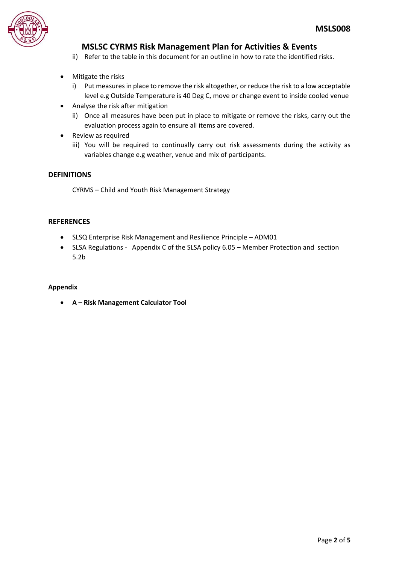

- ii) Refer to the table in this document for an outline in how to rate the identified risks.
- Mitigate the risks
	- i) Put measures in place to remove the risk altogether, or reduce the risk to a low acceptable level e.g Outside Temperature is 40 Deg C, move or change event to inside cooled venue
- Analyse the risk after mitigation
	- ii) Once all measures have been put in place to mitigate or remove the risks, carry out the evaluation process again to ensure all items are covered.
- Review as required
	- iii) You will be required to continually carry out risk assessments during the activity as variables change e.g weather, venue and mix of participants.

## **DEFINITIONS**

CYRMS – Child and Youth Risk Management Strategy

#### **REFERENCES**

- SLSQ Enterprise Risk Management and Resilience Principle ADM01
- SLSA Regulations Appendix C of the SLSA policy 6.05 Member Protection and section 5.2b

#### **Appendix**

**A – Risk Management Calculator Tool**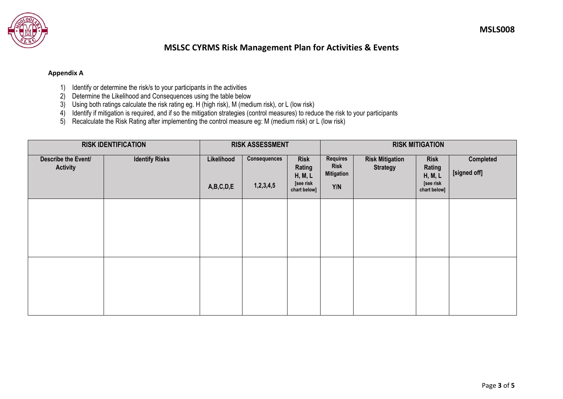

## **Appendix A**

- 1) Identify or determine the risk/s to your participants in the activities
- 2) Determine the Likelihood and Consequences using the table below
- 3) Using both ratings calculate the risk rating eg. H (high risk), M (medium risk), or L (low risk)
- 4) Identify if mitigation is required, and if so the mitigation strategies (control measures) to reduce the risk to your participants
- 5) Recalculate the Risk Rating after implementing the control measure eg: M (medium risk) or L (low risk)

| <b>RISK IDENTIFICATION</b>             |                       | <b>RISK ASSESSMENT</b>  |                                  |                                                                      | <b>RISK MITIGATION</b>                              |                                           |                                                                      |                           |
|----------------------------------------|-----------------------|-------------------------|----------------------------------|----------------------------------------------------------------------|-----------------------------------------------------|-------------------------------------------|----------------------------------------------------------------------|---------------------------|
| Describe the Event/<br><b>Activity</b> | <b>Identify Risks</b> | Likelihood<br>A,B,C,D,E | <b>Consequences</b><br>1,2,3,4,5 | <b>Risk</b><br>Rating<br><b>H, M, L</b><br>[see risk<br>chart below] | <b>Requires</b><br><b>Risk</b><br>Mitigation<br>Y/N | <b>Risk Mitigation</b><br><b>Strategy</b> | <b>Risk</b><br>Rating<br><b>H, M, L</b><br>[see risk<br>chart below] | Completed<br>[signed off] |
|                                        |                       |                         |                                  |                                                                      |                                                     |                                           |                                                                      |                           |
|                                        |                       |                         |                                  |                                                                      |                                                     |                                           |                                                                      |                           |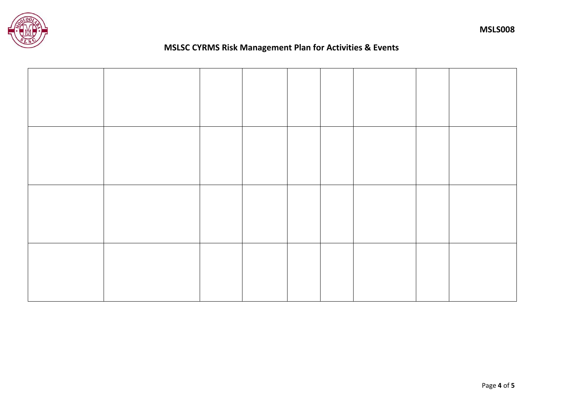